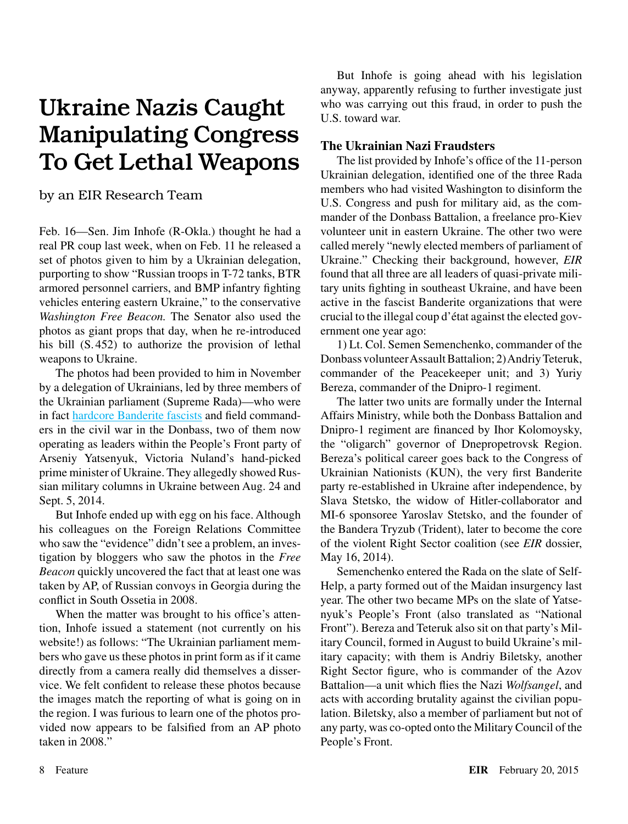## Ukraine Nazis Caught Manipulating Congress To Get Lethal Weapons

by an EIR Research Team

Feb. 16—Sen. Jim Inhofe (R-Okla.) thought he had a real PR coup last week, when on Feb. 11 he released a set of photos given to him by a Ukrainian delegation, purporting to show "Russian troops in T-72 tanks, BTR armored personnel carriers, and BMP infantry fighting vehicles entering eastern Ukraine," to the conservative *Washington Free Beacon.* The Senator also used the photos as giant props that day, when he re-introduced his bill (S. 452) to authorize the provision of lethal weapons to Ukraine.

The photos had been provided to him in November by a delegation of Ukrainians, led by three members of the Ukrainian parliament (Supreme Rada)—who were in fact [hardcore Banderite fascists](http://www.buzzfeed.com/rosiegray/heres-the-ukrainian-delegation-that-gave-misleading-photos-t#.tipr0YYe1) and field commanders in the civil war in the Donbass, two of them now operating as leaders within the People's Front party of Arseniy Yatsenyuk, Victoria Nuland's hand-picked prime minister of Ukraine. They allegedly showed Russian military columns in Ukraine between Aug. 24 and Sept. 5, 2014.

But Inhofe ended up with egg on his face. Although his colleagues on the Foreign Relations Committee who saw the "evidence" didn't see a problem, an investigation by bloggers who saw the photos in the *Free Beacon* quickly uncovered the fact that at least one was taken by AP, of Russian convoys in Georgia during the conflict in South Ossetia in 2008.

When the matter was brought to his office's attention, Inhofe issued a statement (not currently on his website!) as follows: "The Ukrainian parliament members who gave us these photos in print form as if it came directly from a camera really did themselves a disservice. We felt confident to release these photos because the images match the reporting of what is going on in the region. I was furious to learn one of the photos provided now appears to be falsified from an AP photo taken in 2008."

But Inhofe is going ahead with his legislation anyway, apparently refusing to further investigate just who was carrying out this fraud, in order to push the U.S. toward war.

## **The Ukrainian Nazi Fraudsters**

The list provided by Inhofe's office of the 11-person Ukrainian delegation, identified one of the three Rada members who had visited Washington to disinform the U.S. Congress and push for military aid, as the commander of the Donbass Battalion, a freelance pro-Kiev volunteer unit in eastern Ukraine. The other two were called merely "newly elected members of parliament of Ukraine." Checking their background, however, *EIR* found that all three are all leaders of quasi-private military units fighting in southeast Ukraine, and have been active in the fascist Banderite organizations that were crucial to the illegal coup d'état against the elected government one year ago:

1) Lt. Col. Semen Semenchenko, commander of the Donbass volunteer Assault Battalion; 2) Andriy Teteruk, commander of the Peacekeeper unit; and 3) Yuriy Bereza, commander of the Dnipro-1 regiment.

The latter two units are formally under the Internal Affairs Ministry, while both the Donbass Battalion and Dnipro-1 regiment are financed by Ihor Kolomoysky, the "oligarch" governor of Dnepropetrovsk Region. Bereza's political career goes back to the Congress of Ukrainian Nationists (KUN), the very first Banderite party re-established in Ukraine after independence, by Slava Stetsko, the widow of Hitler-collaborator and MI-6 sponsoree Yaroslav Stetsko, and the founder of the Bandera Tryzub (Trident), later to become the core of the violent Right Sector coalition (see *EIR* dossier, May 16, 2014).

Semenchenko entered the Rada on the slate of Self-Help, a party formed out of the Maidan insurgency last year. The other two became MPs on the slate of Yatsenyuk's People's Front (also translated as "National Front"). Bereza and Teteruk also sit on that party's Military Council, formed in August to build Ukraine's military capacity; with them is Andriy Biletsky, another Right Sector figure, who is commander of the Azov Battalion—a unit which flies the Nazi *Wolfsangel*, and acts with according brutality against the civilian population. Biletsky, also a member of parliament but not of any party, was co-opted onto the Military Council of the People's Front.